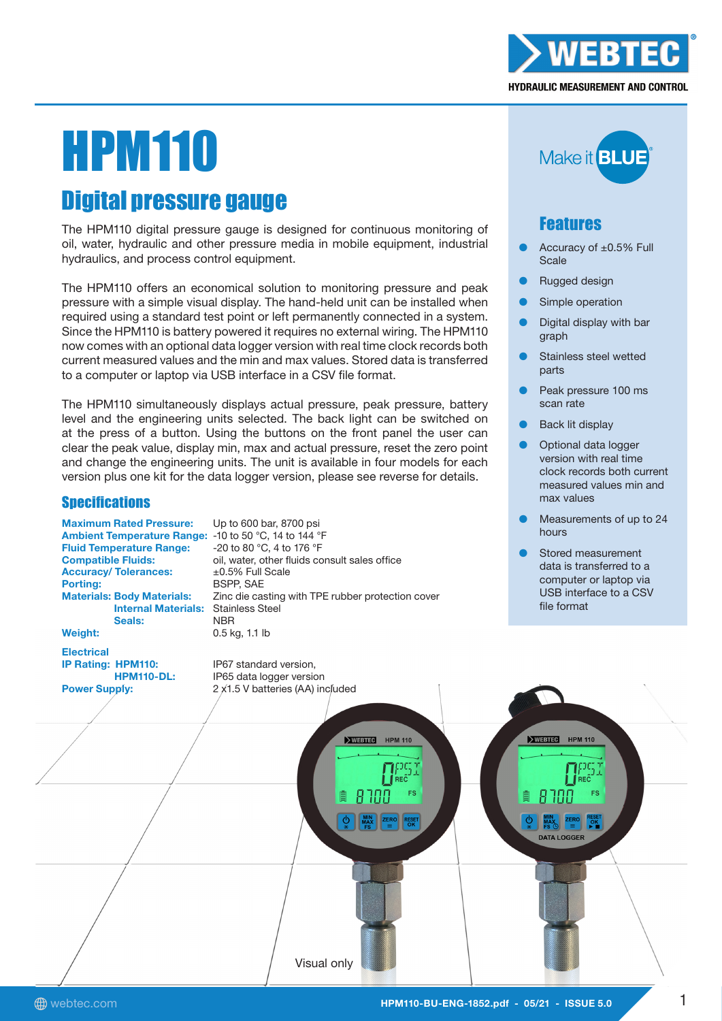

# **HPM110**

# Digital pressure gauge

The HPM110 digital pressure gauge is designed for continuous monitoring of oil, water, hydraulic and other pressure media in mobile equipment, industrial hydraulics, and process control equipment.

The HPM110 offers an economical solution to monitoring pressure and peak pressure with a simple visual display. The hand-held unit can be installed when required using a standard test point or left permanently connected in a system. Since the HPM110 is battery powered it requires no external wiring. The HPM110 now comes with an optional data logger version with real time clock records both current measured values and the min and max values. Stored data is transferred to a computer or laptop via USB interface in a CSV file format.

The HPM110 simultaneously displays actual pressure, peak pressure, battery level and the engineering units selected. The back light can be switched on at the press of a button. Using the buttons on the front panel the user can clear the peak value, display min, max and actual pressure, reset the zero point and change the engineering units. The unit is available in four models for each version plus one kit for the data logger version, please see reverse for details.

# **Specifications**

Maximum Rated Pressure: Up to 600 bar, 8700 psi Ambient Temperature Range: -10 to 50 °C, 14 to 144 °F Fluid Temperature Range: -20 to 80 °C, 4 to 176 °F Accuracy/ Tolerances:  $\pm 0.5\%$  Full Scale Porting: BSPP, SAE Internal Materials: Stainless Steel Seals: NRR Weight: 0.5 kg, 1.1 lb

Compatible Fluids: oil, water, other fluids consult sales office Materials: Body Materials: Zinc die casting with TPE rubber protection cover

Electrical

IP Rating: HPM110: IP67 standard version,



# Features

- Accuracy of  $\pm 0.5\%$  Full **Scale**
- **Rugged design**
- Simple operation
- Digital display with bar graph
- Stainless steel wetted parts
- Peak pressure 100 ms scan rate
- **Back lit display**
- Optional data logger version with real time clock records both current measured values min and max values
- Measurements of up to 24 hours
- Stored measurement data is transferred to a computer or laptop via USB interface to a CSV file format

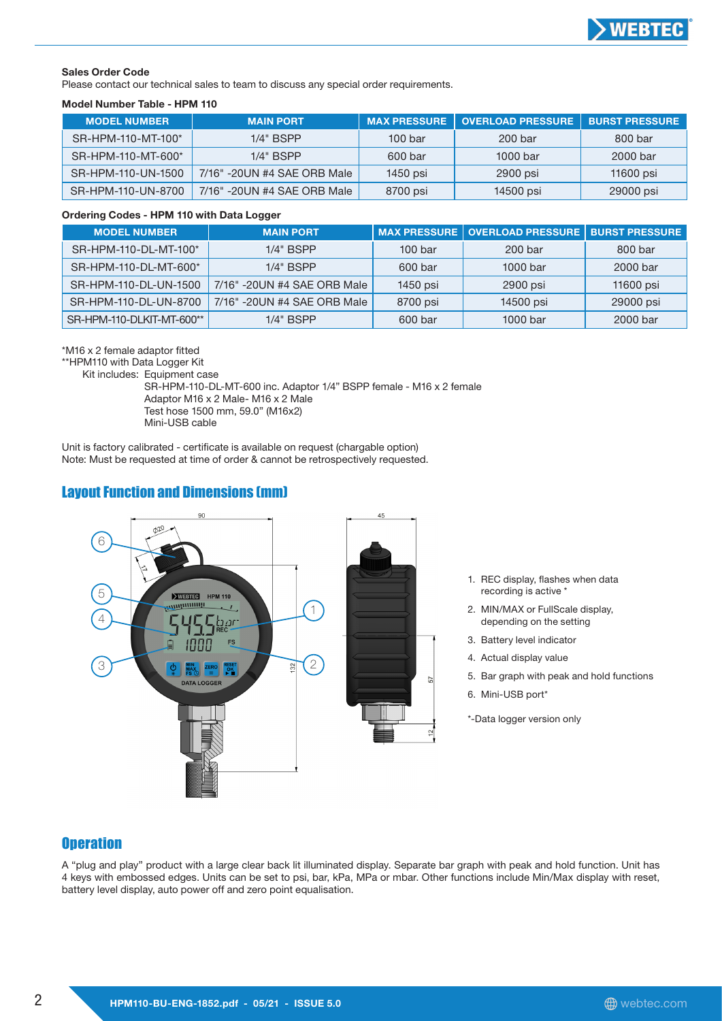

#### Sales Order Code

Please contact our technical sales to team to discuss any special order requirements.

#### Model Number Table - HPM 110

| <b>MODEL NUMBER</b> | <b>MAIN PORT</b>            | <b>MAX PRESSURE</b> | <b>OVERLOAD PRESSURE</b> | <b>BURST PRESSURE</b> |
|---------------------|-----------------------------|---------------------|--------------------------|-----------------------|
| SR-HPM-110-MT-100*  | $1/4"$ BSPP                 | 100 <sub>bar</sub>  | 200 bar                  | 800 bar               |
| SR-HPM-110-MT-600*  | $1/4"$ BSPP                 | 600 bar             | 1000 bar                 | 2000 bar              |
| SR-HPM-110-UN-1500  | 7/16" -20UN #4 SAE ORB Male | 1450 psi            | 2900 psi                 | 11600 psi             |
| SR-HPM-110-UN-8700  | 7/16" -20UN #4 SAE ORB Male | 8700 psi            | 14500 psi                | 29000 psi             |

#### Ordering Codes - HPM 110 with Data Logger

| <b>MODEL NUMBER</b>       | <b>MAIN PORT</b>            |                    | │MAX PRESSURE │ OVERLOAD PRESSURE │ BURST PRESSURE │ |           |
|---------------------------|-----------------------------|--------------------|------------------------------------------------------|-----------|
| SR-HPM-110-DL-MT-100*     | $1/4"$ BSPP                 | 100 <sub>bar</sub> | 200 bar                                              | 800 bar   |
| SR-HPM-110-DL-MT-600*     | $1/4"$ BSPP                 | 600 bar            | 1000 bar                                             | 2000 bar  |
| SR-HPM-110-DL-UN-1500     | 7/16" -20UN #4 SAE ORB Male | 1450 psi           | 2900 psi                                             | 11600 psi |
| SR-HPM-110-DL-UN-8700     | 7/16" -20UN #4 SAE ORB Male | 8700 psi           | 14500 psi                                            | 29000 psi |
| SR-HPM-110-DLKIT-MT-600** | $1/4"$ BSPP                 | 600 bar            | 1000 bar                                             | 2000 bar  |

\*M16 x 2 female adaptor fitted

\*\*HPM110 with Data Logger Kit

Kit includes: Equipment case

 SR-HPM-110-DL-MT-600 inc. Adaptor 1/4" BSPP female - M16 x 2 female Adaptor M16 x 2 Male- M16 x 2 Male Test hose 1500 mm, 59.0" (M16x2) Mini-USB cable

Unit is factory calibrated - certificate is available on request (chargable option) Note: Must be requested at time of order & cannot be retrospectively requested.

# Layout Function and Dimensions (mm)



- 1. REC display, flashes when data recording is active \*
- 2. MIN/MAX or FullScale display, depending on the setting
- 3. Battery level indicator
- 4. Actual display value
- 5. Bar graph with peak and hold functions
- 6. Mini-USB port\*

\*-Data logger version only

#### **Operation**

A "plug and play" product with a large clear back lit illuminated display. Separate bar graph with peak and hold function. Unit has 4 keys with embossed edges. Units can be set to psi, bar, kPa, MPa or mbar. Other functions include Min/Max display with reset, battery level display, auto power off and zero point equalisation.